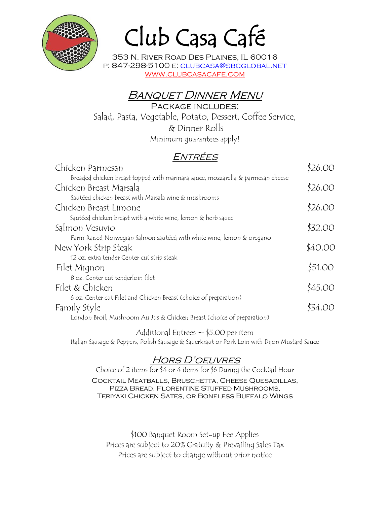

# Club Casa Café

353 N. River Road Des Plaines, IL 60016 p: 847-298-5100 e: clubcasa@sbcglobal.net www.clubcasacafe.com

# Banquet Dinner Menu

Package includes: Salad, Pasta, Vegetable, Potato, Dessert, Coffee Service, & Dinner Rolls Minimum guarantees apply!

# Entrées

| Chicken Parmesan                                                                | \$26.00 |
|---------------------------------------------------------------------------------|---------|
| Breaded chicken breast topped with marinara sauce, mozzarella & parmesan cheese |         |
| Chicken Breast Marsala                                                          | \$26.00 |
| Sautéed chicken breast with Marsala wine & mushrooms                            |         |
| Chicken Breast Limone                                                           | \$26.00 |
| Sautéed chicken breast with a white wine, lemon & herb sauce                    |         |
| Salmon Vesuvio                                                                  | \$32.00 |
| Farm Raised Norwegian Salmon sauteed with white wine, lemon & oregano           |         |
| New York Strip Steak                                                            | \$40.00 |
| 12 oz. extra tender Center cut strip steak                                      |         |
| Filet Mignon                                                                    | \$51.00 |
| 8 oz. Center cut tenderloin filet                                               |         |
| Filet & Chicken                                                                 | \$45.00 |
| 6 oz. Center cut Filet and Chicken Breast (choice of preparation)               |         |
| Family Style                                                                    | \$34.OO |
| London Broil, Mushroom Au Jus & Chicken Breast (choice of preparation)          |         |
|                                                                                 |         |

Additional Entrees  $\sim$  \$5.00 per item Italian Sausage & Peppers, Polish Sausage & Sauerkraut or Pork Loin with Dijon Mustard Sauce

# Hors D'oeuvres

Choice of 2 items for \$4 or 4 items for \$6 During the Cocktail Hour Cocktail Meatballs, Bruschetta, Cheese Quesadillas, Pizza Bread, Florentine Stuffed Mushrooms, Teriyaki Chicken Sates, or Boneless Buffalo Wings

\$100 Banquet Room Set-up Fee Applies Prices are subject to 20% Gratuity & Prevailing Sales Tax Prices are subject to change without prior notice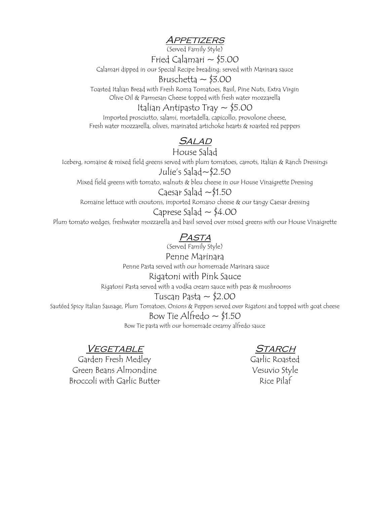## Appetizers

(Served Family Style)

Fried Calamari  $\sim$  \$5.00

Calamari dipped in our Special Recipe breading; served with Marinara sauce

## Bruschetta  $\sim$  \$3.00

Toasted Italian Bread with Fresh Roma Tomatoes, Basil, Pine Nuts, Extra Virgin Olive Oil & Parmesan Cheese topped with fresh water mozzarella

## Italian Antipasto Tray ~ \$5.00

Imported prosciutto, salami, mortadella, capicollo, provolone cheese, Fresh water mozzarella, olives, marinated artichoke hearts & roasted red peppers

# **SALAD**

## House Salad

Iceberg, romaine & mixed field greens served with plum tomatoes, carrots, Italian & Ranch Dressings Julie's Salad~\$2.50

Mixed field greens with tomato, walnuts & bleu cheese in our House Vinaigrette Dressing

## Caesar Salad  $\sim$ \$1.50

Romaine lettuce with croutons, imported Romano cheese & our tangy Caesar dressing

Caprese Salad  $\sim$  \$4.00 Plum tomato wedges, freshwater mozzarella and basil served over mixed greens with our House Vinaigrette

# Pasta

(Served Family Style)

Penne Marinara Penne Pasta served with our homemade Marinara sauce Rigatoni with Pink Sauce

Rigatoni Pasta served with a vodka cream sauce with peas & mushrooms

Tuscan Pasta ~ \$2.00

Sautéed Spicy Italian Sausage, Plum Tomatoes, Onions & Peppers served over Rigatoni and topped with goat cheese

#### Bow Tie Alfredo  $\sim$  \$1.50

Bow Tie pasta with our homemade creamy alfredo sauce

## VEGETABLE

Garden Fresh Medley Green Beans Almondine Broccoli with Garlic Butter

## Starch

Garlic Roasted Vesuvio Style Rice Pilaf